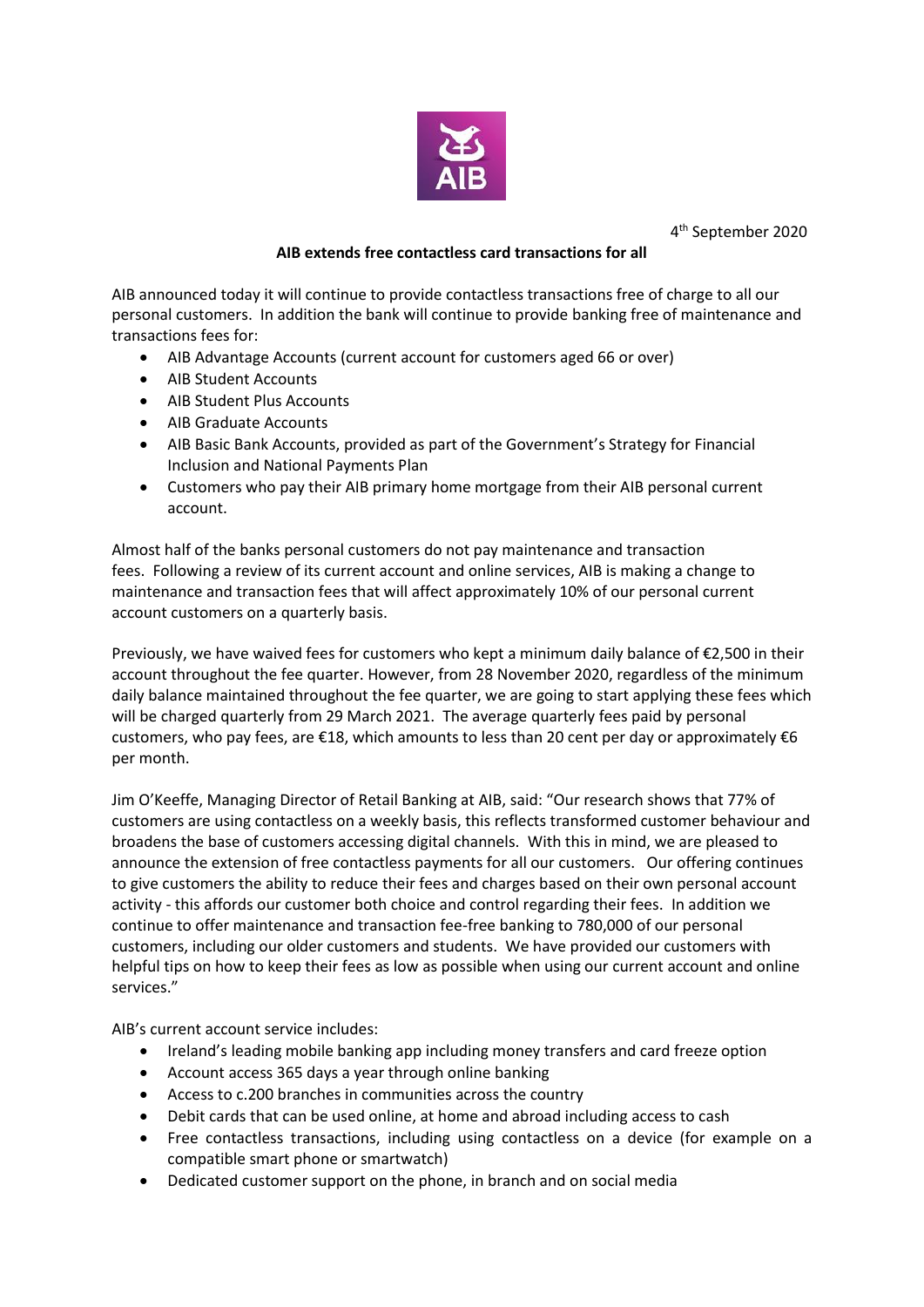

4 th September 2020

## **AIB extends free contactless card transactions for all**

AIB announced today it will continue to provide contactless transactions free of charge to all our personal customers. In addition the bank will continue to provide banking free of maintenance and transactions fees for:

- AIB Advantage Accounts (current account for customers aged 66 or over)
- AIB Student Accounts
- AIB Student Plus Accounts
- AIB Graduate Accounts
- AIB Basic Bank Accounts, provided as part of the Government's Strategy for Financial Inclusion and National Payments Plan
- Customers who pay their AIB primary home mortgage from their AIB personal current account.

Almost half of the banks personal customers do not pay maintenance and transaction fees. Following a review of its current account and online services, AIB is making a change to maintenance and transaction fees that will affect approximately 10% of our personal current account customers on a quarterly basis.

Previously, we have waived fees for customers who kept a minimum daily balance of €2,500 in their account throughout the fee quarter. However, from 28 November 2020, regardless of the minimum daily balance maintained throughout the fee quarter, we are going to start applying these fees which will be charged quarterly from 29 March 2021. The average quarterly fees paid by personal customers, who pay fees, are  $\epsilon$ 18, which amounts to less than 20 cent per day or approximately  $\epsilon$ 6 per month.

Jim O'Keeffe, Managing Director of Retail Banking at AIB, said: "Our research shows that 77% of customers are using contactless on a weekly basis, this reflects transformed customer behaviour and broadens the base of customers accessing digital channels. With this in mind, we are pleased to announce the extension of free contactless payments for all our customers. Our offering continues to give customers the ability to reduce their fees and charges based on their own personal account activity - this affords our customer both choice and control regarding their fees. In addition we continue to offer maintenance and transaction fee-free banking to 780,000 of our personal customers, including our older customers and students. We have provided our customers with helpful tips on how to keep their fees as low as possible when using our current account and online services."

AIB's current account service includes:

- Ireland's leading mobile banking app including money transfers and card freeze option
- Account access 365 days a year through online banking
- Access to c.200 branches in communities across the country
- Debit cards that can be used online, at home and abroad including access to cash
- Free contactless transactions, including using contactless on a device (for example on a compatible smart phone or smartwatch)
- Dedicated customer support on the phone, in branch and on social media